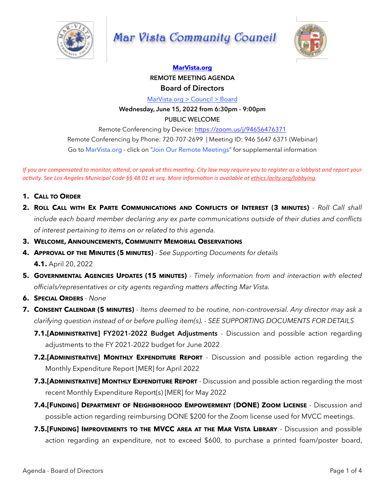

# Mar Vista Community Council



## **[MarVista.org](http://MarVista.org) REMOTE MEETING AGENDA Board of Directors**

[MarVista.org > Council > Board](https://www.marvista.org/committees/viewCommittee/board-of-directors)

**Wednesday, June 15, 2022 from 6:30pm - 9:00pm**

PUBLIC WELCOME

Remote Conferencing by Device:<https://zoom.us/j/94656476371> Remote Conferencing by Phone: 720-707-2699 | Meeting ID: 946 5647 6371 (Webinar) Go to MarVista.org - click on "Join Our Remote Meetings" for supplemental information

*If* you are compensated to monitor, attend, or speak at this meeting. City law may require you to register as a lobbyist and report your *activity.* See Los Angeles Municipal Code §§ 48.01 et seq. More information is available at ethics.lacity.org/lobbying.

- **1. CALL TO ORDER**
- **2. ROLL CALL WITH EX PARTE COMMUNICATIONS AND CONFLICTS OF INTEREST (3 MINUTES)**  *Roll Call shall include each board member declaring any ex parte communications outside of their duties and conflicts of interest pertaining to items on or related to this agenda.*
- **3. WELCOME, ANNOUNCEMENTS, COMMUNITY MEMORIAL OBSERVATIONS**
- **4. APPROVAL OF THE MINUTES (5 MINUTES)**  *See Supporting Documents for details* **4.1.** April 20, 2022
- **5. GOVERNMENTAL AGENCIES UPDATES (15 MINUTES)**  *Timely information from and interaction with elected officials/representatives or city agents regarding matters affecting Mar Vista.*
- **6. SPECIAL ORDERS**  *None*
- **7. CONSENT CALENDAR (5 MINUTES)**  *Items deemed to be routine, non-controversial. Any director may ask a clarifying question instead of or before pulling item(s). - SEE SUPPORTING DOCUMENTS FOR DETAILS* 
	- **7.1.[ADMINISTRATIVE] FY2021-2022 Budget Adjustments** Discussion and possible action regarding adjustments to the FY 2021-2022 budget for June 2022
	- **7.2.[ADMINISTRATIVE] MONTHLY EXPENDITURE REPORT** Discussion and possible action regarding the Monthly Expenditure Report [MER] for April 2022
	- **7.3.[ADMINISTRATIVE] MONTHLY EXPENDITURE REPORT** Discussion and possible action regarding the most recent Monthly Expenditure Report(s) [MER] for May 2022
	- **7.4.[FUNDING] DEPARTMENT OF NEIGHBORHOOD EMPOWERMENT (DONE) ZOOM LICENSE** Discussion and possible action regarding reimbursing DONE \$200 for the Zoom license used for MVCC meetings.
	- **7.5.[FUNDING] IMPROVEMENTS TO THE MVCC AREA AT THE MAR VISTA LIBRARY** Discussion and possible action regarding an expenditure, not to exceed \$600, to purchase a printed foam/poster board,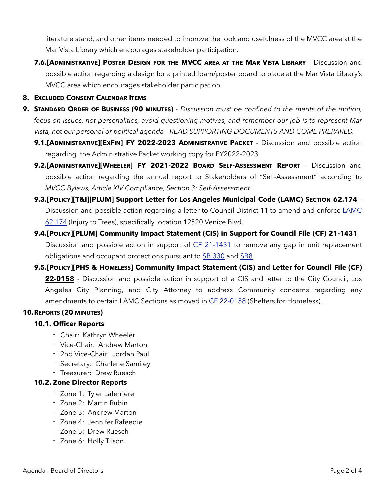literature stand, and other items needed to improve the look and usefulness of the MVCC area at the Mar Vista Library which encourages stakeholder participation.

**7.6.[ADMINISTRATIVE] POSTER DESIGN FOR THE MVCC AREA AT THE MAR VISTA LIBRARY** - Discussion and possible action regarding a design for a printed foam/poster board to place at the Mar Vista Library's MVCC area which encourages stakeholder participation.

### **8. EXCLUDED CONSENT CALENDAR ITEMS**

- **9. STANDARD ORDER OF BUSINESS (90 MINUTES)** *Discussion must be confined to the merits of the motion, focus on issues, not personalities, avoid questioning motives, and remember our job is to represent Mar Vista, not our personal or political agenda - READ SUPPORTING DOCUMENTS AND COME PREPARED.* 
	- **9.1.[ADMINISTRATIVE][EXFIN] FY 2022-2023 ADMINISTRATIVE PACKET** Discussion and possible action regarding the Administrative Packet working copy for FY2022-2023.
	- **9.2.[ADMINISTRATIVE][WHEELER] FY 2021-2022 BOARD SELF-ASSESSMENT REPORT** Discussion and possible action regarding the annual report to Stakeholders of "Self-Assessment" according to *MVCC Bylaws, Article XIV Compliance, Section 3: Self-Assessment*.
	- **9.3.[POLICY][T&I][PLUM] Support Letter for Los Angeles Municipal Code [\(LAMC\) SECTION 62.174](https://codelibrary.amlegal.com/codes/los_angeles/latest/lamc/0-0-0-158872)** Discussion and possible action regarding a letter to Council District 11 to amend and enforce [LAMC](https://codelibrary.amlegal.com/codes/los_angeles/latest/lamc/0-0-0-158872) [62.174](https://codelibrary.amlegal.com/codes/los_angeles/latest/lamc/0-0-0-158872) (Injury to Trees), specifically location 12520 Venice Blvd.
	- **9.4.[POLICY][PLUM] Community Impact Statement (CIS) in Support for Council File [\(CF\) 21-1431](https://cityclerk.lacity.org/lacityclerkconnect/index.cfm?fa=ccfi.viewrecord&cfnumber=21-1431)** Discussion and possible action in support of [CF 21-1431](https://cityclerk.lacity.org/lacityclerkconnect/index.cfm?fa=ccfi.viewrecord&cfnumber=21-1431) to remove any gap in unit replacement obligations and occupant protections pursuant to [SB 330](https://leginfo.legislature.ca.gov/faces/billTextClient.xhtml?bill_id=201920200SB330&search_keywords=housing) and [SB8.](https://leginfo.legislature.ca.gov/faces/billNavClient.xhtml?bill_id=202120220SB8)
	- **9.5.[POLICY][PHS & HOMELESS] Community Impact Statement (CIS) and Letter for Council File [\(CF\)](https://cityclerk.lacity.org/lacityclerkconnect/index.cfm?fa=ccfi.viewrecord&cfnumber=22-0158) [22-0158](https://cityclerk.lacity.org/lacityclerkconnect/index.cfm?fa=ccfi.viewrecord&cfnumber=22-0158)** - Discussion and possible action in support of a CIS and letter to the City Council, Los Angeles City Planning, and City Attorney to address Community concerns regarding any amendments to certain LAMC Sections as moved in [CF 22-0158](https://cityclerk.lacity.org/lacityclerkconnect/index.cfm?fa=ccfi.viewrecord&cfnumber=22-0158) (Shelters for Homeless).

### **10.REPORTS (20 MINUTES)**

### **10.1. Officer Reports**

- Chair: Kathryn Wheeler
- Vice-Chair: Andrew Marton
- 2nd Vice-Chair: Jordan Paul
- Secretary: Charlene Samiley
- Treasurer: Drew Ruesch

#### **10.2. Zone Director Reports**

- Zone 1: Tyler Laferriere
- Zone 2: Martin Rubin
- Zone 3: Andrew Marton
- Zone 4: Jennifer Rafeedie
- Zone 5: Drew Ruesch
- Zone 6: Holly Tilson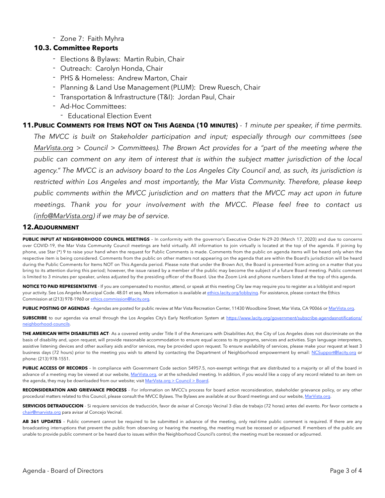- Zone 7: Faith Myhra

#### **10.3. Committee Reports**

- Elections & Bylaws: Martin Rubin, Chair
- Outreach: Carolyn Honda, Chair
- PHS & Homeless: Andrew Marton, Chair
- Planning & Land Use Management (PLUM): Drew Ruesch, Chair
- Transportation & Infrastructure (T&I): Jordan Paul, Chair
- Ad-Hoc Committees:
	- Educational Election Event

**11.PUBLIC COMMENTS FOR ITEMS NOT ON THIS AGENDA (10 MINUTES)** *- 1 minute per speaker, if time permits. The MVCC is built on Stakeholder participation and input; especially through our committees (see [MarVista.org](http://MarVista.org) > Council > Committees). The Brown Act provides for a "part of the meeting where the public can comment on any item of interest that is within the subject matter jurisdiction of the local agency." The MVCC is an advisory board to the Los Angeles City Council and, as such, its jurisdiction is restricted within Los Angeles and most importantly, the Mar Vista Community. Therefore, please keep public comments within the MVCC jurisdiction and on matters that the MVCC may act upon in future meetings. Thank you for your involvement with the MVCC. Please feel free to contact us [\(info@MarVista.org\)](mailto:info@MarVista.org) if we may be of service.*

#### **12.ADJOURNMENT**

PUBLIC INPUT AT NEIGHBORHOOD COUNCIL MEETINGS - In conformity with the governor's Executive Order N-29-20 (March 17, 2020) and due to concerns over COVID-19, the Mar Vista Community Council meetings are held virtually. All information to join virtually is located at the top of the agenda. If joining by phone, use Star (\*) 9 to raise your hand when the request for Public Comments is made. Comments from the public on agenda items will be heard only when the respective item is being considered. Comments from the public on other matters not appearing on the agenda that are within the Board's jurisdiction will be heard during the Public Comments for Items NOT on This Agenda period. Please note that under the Brown Act, the Board is prevented from acting on a matter that you bring to its attention during this period; however, the issue raised by a member of the public may become the subject of a future Board meeting. Public comment is limited to 3 minutes per speaker, unless adjusted by the presiding officer of the Board. Use the Zoom Link and phone numbers listed at the top of this agenda.

**NOTICE TO PAID REPRESENTATIVE** - If you are compensated to monitor, attend, or speak at this meeting City law may require you to register as a lobbyist and report your activity. See Los Angeles Municipal Code. 48.01 et seq. More information is available at [ethics.lacity.org/lobbying](http://ethics.lacity.org/lobbying). For assistance, please contact the Ethics Commission at (213) 978-1960 or [ethics.commission@lacity.org](mailto:ethics.commission@lacity.org).

PUBLIC POSTING OF AGENDAS - Agendas are posted for public review at Mar Vista Recreation Center, 11430 Woodbine Street, Mar Vista, CA 90066 or [MarVista.org](http://MarVista.org).

**SUBSCRIBE** to our agendas via email through the Los Angeles City's Early Notification System at [https://www.lacity.org/government/subscribe-agendasnotifications/](https://www.lacity.org/government/subscribe-agendasnotifications/neighborhood-councils) [neighborhood-councils.](https://www.lacity.org/government/subscribe-agendasnotifications/neighborhood-councils)

**THE AMERICAN WITH DISABILITIES ACT**- As a covered entity under Title II of the Americans with Disabilities Act, the City of Los Angeles does not discriminate on the basis of disability and, upon request, will provide reasonable accommodation to ensure equal access to its programs, services and activities. Sign language interpreters, assistive listening devices and other auxiliary aids and/or services, may be provided upon request. To ensure availability of services, please make your request at least 3 business days (72 hours) prior to the meeting you wish to attend by contacting the Department of Neighborhood empowerment by email: [NCSupport@lacity.org](mailto:NCSupport@lacity.org) or phone: (213) 978-1551.

PUBLIC ACCESS OF RECORDS - In compliance with Government Code section 54957.5, non-exempt writings that are distributed to a majority or all of the board in advance of a meeting may be viewed at our website, [MarVista.org](http://MarVista.org), or at the scheduled meeting. In addition, if you would like a copy of any record related to an item on the agenda, they may be downloaded from our website; visit [MarVista.org > Council > Board](http://MarVista.org).

**RECONSIDERATION AND GRIEVANCE PROCESS** - For information on MVCC's process for board action reconsideration, stakeholder grievance policy, or any other procedural matters related to this Council, please consult the MVCC Bylaws. The Bylaws are available at our Board meetings and our website, [MarVista.org](http://MarVista.org).

**SERVICIOS DETRADUCCION** - Si requiere servicios de traducción, favor de avisar al Concejo Vecinal 3 días de trabajo (72 horas) antes del evento. Por favor contacte a [chair@marvista.org](mailto:chair@marvista.org) para avisar al Concejo Vecinal.

AB 361 UPDATES - Public comment cannot be required to be submitted in advance of the meeting, only real-time public comment is required. If there are any broadcasting interruptions that prevent the public from observing or hearing the meeting, the meeting must be recessed or adjourned. If members of the public are unable to provide public comment or be heard due to issues within the Neighborhood Council's control, the meeting must be recessed or adjourned.